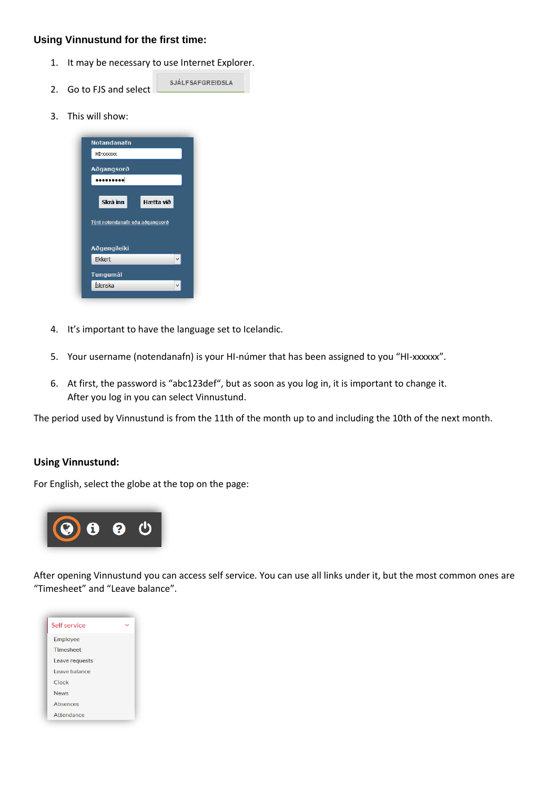## **Using Vinnustund for the first time:**

- 1. It may be necessary to use Internet Explorer.
- **SJÁLFSAFGREIÐSLA** 2. Go to FJS and select
- 3. This will show:

| Notandanafn                                     |           |  |
|-------------------------------------------------|-----------|--|
| HI-XXXXX                                        |           |  |
| Aðgangsorð                                      |           |  |
| .                                               |           |  |
|                                                 |           |  |
| Skrá inn                                        | Hætta við |  |
| Týnt notendanafn eða aðgangsorð<br>Aðgengileiki |           |  |
| <b>Ekkert</b>                                   |           |  |
| <b>Tungumál</b><br>Íslenska                     |           |  |
|                                                 |           |  |

- 4. It's important to have the language set to Icelandic.
- 5. Your username (notendanafn) is your HI-númer that has been assigned to you "HI-xxxxxx".
- 6. At first, the password is "abc123def", but as soon as you log in, it is important to change it. After you log in you can select Vinnustund.

The period used by Vinnustund is from the 11th of the month up to and including the 10th of the next month.

## **Using Vinnustund:**

For English, select the globe at the top on the page:



After opening Vinnustund you can access self service. You can use all links under it, but the most common ones are "Timesheet" and "Leave balance".

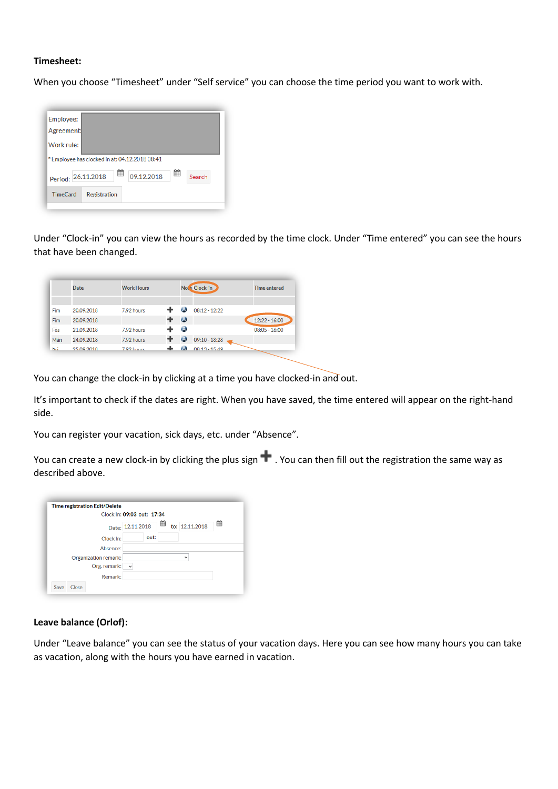## **Timesheet:**

When you choose "Timesheet" under "Self service" you can choose the time period you want to work with.



Under "Clock-in" you can view the hours as recorded by the time clock. Under "Time entered" you can see the hours that have been changed.

|     | <b>Date</b> | <b>Work Hours</b> |   |             | <b>Note Clock-in</b> | <b>Time entered</b> |
|-----|-------------|-------------------|---|-------------|----------------------|---------------------|
|     |             |                   |   |             |                      |                     |
| Fim | 20.09.2018  | 7.92 hours        |   | $\omega$    | $08:12 - 12:22$      |                     |
| Fim | 20.09.2018  |                   | ٠ | $\bullet$   |                      | $12:22 - 16:00$     |
| Fös | 21.09.2018  | 7.92 hours        |   | $\triangle$ |                      | $08:05 - 16:00$     |
| Mán | 24.09.2018  | 7.92 hours        |   | $\omega$    | $09:10 - 18:28$      |                     |
| bri | 25.09.2018  | 792 hours         |   | <b>A</b>    | $08:13 - 15:49$      |                     |

You can change the clock-in by clicking at a time you have clocked-in and out.

It's important to check if the dates are right. When you have saved, the time entered will appear on the right-hand side.

You can register your vacation, sick days, etc. under "Absence".

You can create a new clock-in by clicking the plus sign  $\blacksquare$ . You can then fill out the registration the same way as described above.

|                      | Clock In: 09:03 out: 17:34              |   |
|----------------------|-----------------------------------------|---|
|                      | ▦<br>to: 12.11.2018<br>Date: 12.11.2018 | ▦ |
| Clock in:            | out:                                    |   |
| Absence:             |                                         |   |
| Organization remark: | $\checkmark$                            |   |
| Org. remark:         | $\checkmark$                            |   |
| Remark:              |                                         |   |

## **Leave balance (Orlof):**

Under "Leave balance" you can see the status of your vacation days. Here you can see how many hours you can take as vacation, along with the hours you have earned in vacation.